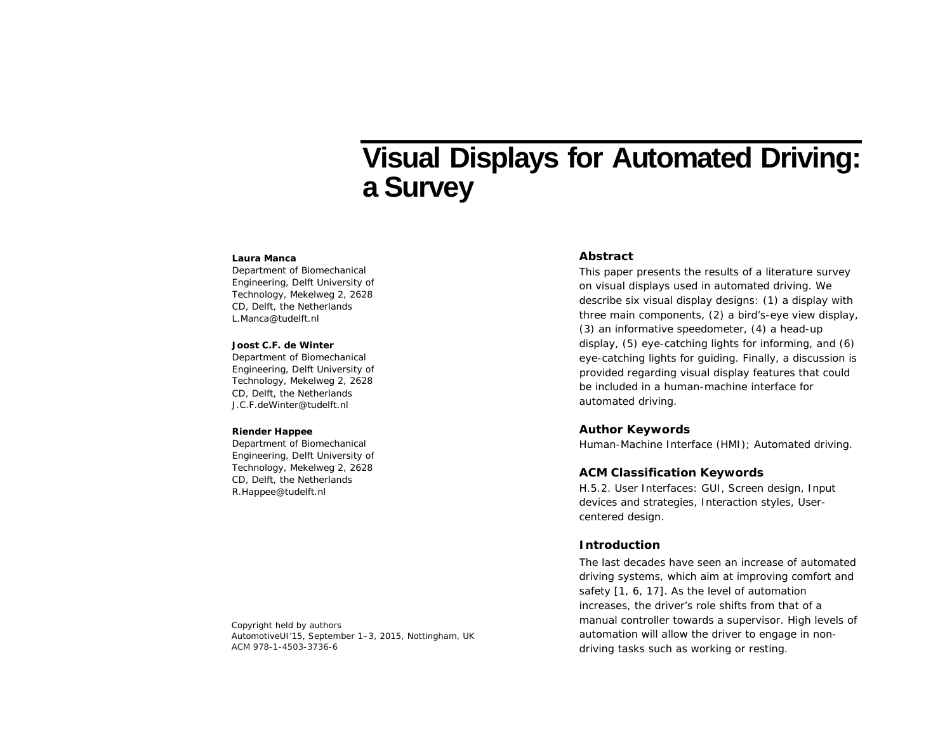# **Visual Displays for Automated Driving: a Survey**

#### **Laura Manca**

Department of Biomechanical Engineering, Delft University of Technology, Mekelweg 2, 2628 CD, Delft, the Netherlands L.Manca@tudelft.nl

#### **Joost C.F. de Winter**

Department of Biomechanical Engineering, Delft University of Technology, Mekelweg 2, 2628 CD, Delft, the Netherlands J.C.F.deWinter@tudelft.nl

#### **Riender Happee**

Department of Biomechanical Engineering, Delft University of Technology, Mekelweg 2, 2628 CD, Delft, the Netherlands R.Happee@tudelft.nl

### **Abstract**

This paper presents the results of a literature survey on visual displays used in automated driving. We describe six visual display designs: (1) a display with three main components, (2) a bird's-eye view display, (3) an informative speedometer, (4) a head-up display, (5) eye-catching lights for informing, and (6) eye-catching lights for guiding. Finally, a discussion is provided regarding visual display features that could be included in a human-machine interface for automated driving.

#### **Author Keywords**

Human-Machine Interface (HMI); Automated driving.

## **ACM Classification Keywords**

H.5.2. User Interfaces: GUI, Screen design, Input devices and strategies, Interaction styles, Usercentered design.

## **Introduction**

The last decades have seen an increase of automated driving systems, which aim at improving comfort and safety [1, 6, 17]. As the level of automation increases, the driver's role shifts from that of a manual controller towards a supervisor. High levels of automation will allow the driver to engage in nondriving tasks such as working or resting.

Copyright held by authors *AutomotiveUI'15*, September 1–3, 2015, Nottingham, UK ACM 978-1-4503-3736-6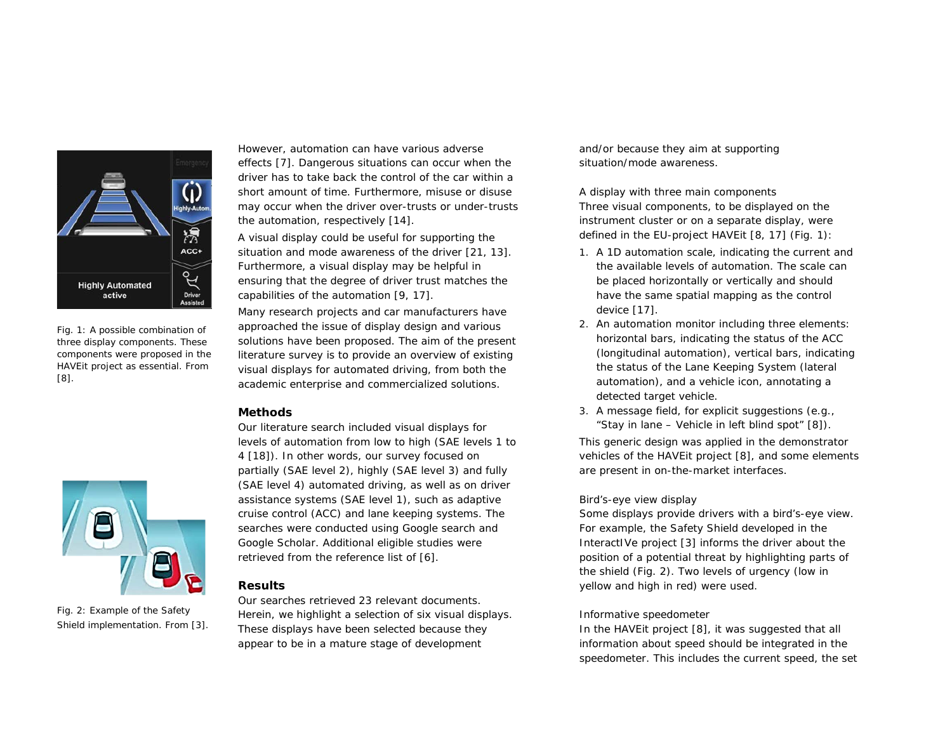

Fig. 1: A possible combination of three display components. These components were proposed in the HAVEit project as essential. From [8].



Fig. 2: Example of the Safety Shield implementation. From [3].

However, automation can have various adverse effects [7]. Dangerous situations can occur when the driver has to take back the control of the car within a short amount of time. Furthermore, misuse or disuse may occur when the driver over-trusts or under-trusts the automation, respectively [14].

A visual display could be useful for supporting the situation and mode awareness of the driver [21, 13]. Furthermore, a visual display may be helpful in ensuring that the degree of driver trust matches the capabilities of the automation [9, 17].

Many research projects and car manufacturers have approached the issue of display design and various solutions have been proposed. The aim of the present literature survey is to provide an overview of existing visual displays for automated driving, from both the academic enterprise and commercialized solutions.

# **Methods**

Our literature search included visual displays for levels of automation from low to high (SAE levels 1 to 4 [18]). In other words, our survey focused on partially (SAE level 2), highly (SAE level 3) and fully (SAE level 4) automated driving, as well as on driver assistance systems (SAE level 1), such as adaptive cruise control (ACC) and lane keeping systems. The searches were conducted using Google search and Google Scholar. Additional eligible studies were retrieved from the reference list of [6].

# **Results**

Our searches retrieved 23 relevant documents. Herein, we highlight a selection of six visual displays. These displays have been selected because they appear to be in a mature stage of development

and/or because they aim at supporting situation/mode awareness.

*A display with three main components* Three visual components, to be displayed on the instrument cluster or on a separate display, were defined in the EU-project HAVEit [8, 17] (Fig. 1):

- 1. A *1D automation scale*, indicating the current and the available levels of automation. The scale can be placed horizontally or vertically and should have the same spatial mapping as the control device [17].
- 2. An *automation monitor* including three elements: *horizontal bars*, indicating the status of the ACC (longitudinal automation), *vertical bars*, indicating the status of the Lane Keeping System (lateral automation), and a *vehicle icon*, annotating a detected target vehicle.
- 3. A *message field*, for explicit suggestions (e.g., "Stay in lane – Vehicle in left blind spot" [8]).

This generic design was applied in the demonstrator vehicles of the HAVEit project [8], and some elements are present in on-the-market interfaces.

## *Bird's-eye view display*

Some displays provide drivers with a bird's-eye view. For example, the Safety Shield developed in the InteractIVe project [3] informs the driver about the position of a potential threat by highlighting parts of the shield (Fig. 2). Two levels of urgency (low in yellow and high in red) were used.

## *Informative speedometer*

In the HAVEit project [8], it was suggested that all information about speed should be integrated in the speedometer. This includes the current speed, the set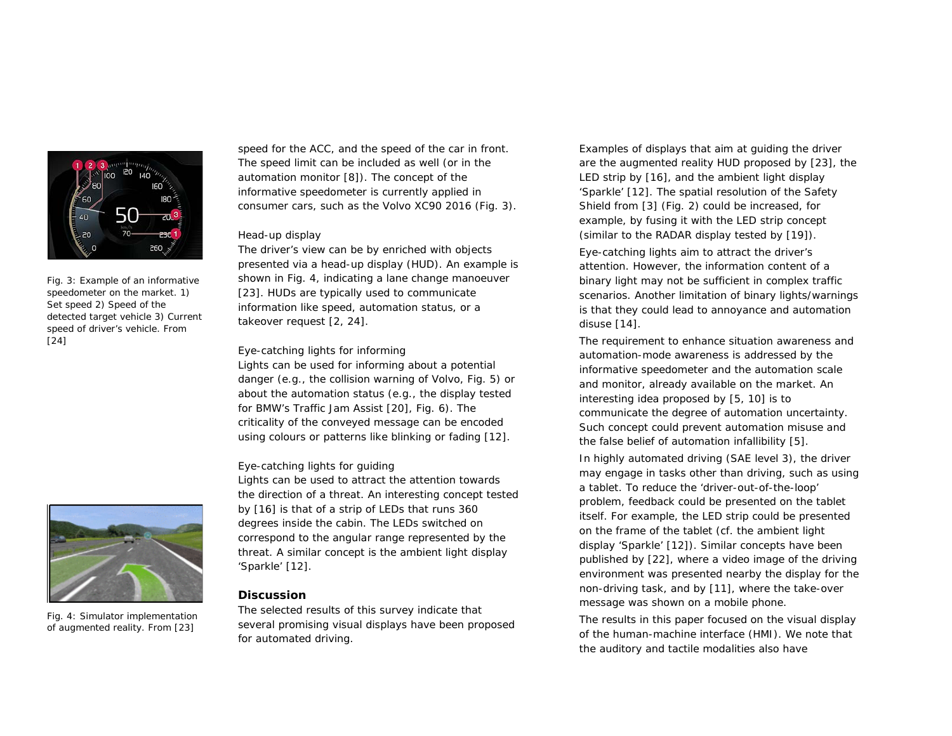

Fig. 3: Example of an informative speedometer on the market. 1) Set speed 2) Speed of the detected target vehicle 3) Current speed of driver's vehicle. From [24]



Fig. 4: Simulator implementation of augmented reality. From [23]

speed for the ACC, and the speed of the car in front. The speed limit can be included as well (or in the automation monitor [8]). The concept of the informative speedometer is currently applied in consumer cars, such as the Volvo XC90 2016 (Fig. 3).

#### *Head-up display*

The driver's view can be by enriched with objects presented via a head-up display (HUD). An example is shown in Fig. 4, indicating a lane change manoeuver [23]. HUDs are typically used to communicate information like speed, automation status, or a takeover request [2, 24].

## *Eye-catching lights for informing*

Lights can be used for informing about a potential danger (e.g., the collision warning of Volvo, Fig. 5) or about the automation status (e.g., the display tested for BMW's Traffic Jam Assist [20], Fig. 6). The criticality of the conveyed message can be encoded using colours or patterns like blinking or fading [12].

### *Eye-catching lights for guiding*

Lights can be used to attract the attention towards the direction of a threat. An interesting concept tested by [16] is that of a strip of LEDs that runs 360 degrees inside the cabin. The LEDs switched on correspond to the angular range represented by the threat. A similar concept is the ambient light display 'Sparkle' [12].

# **Discussion**

The selected results of this survey indicate that several promising visual displays have been proposed for automated driving.

Examples of displays that aim at guiding the driver are the augmented reality HUD proposed by [23], the LED strip by [16], and the ambient light display 'Sparkle' [12]. The spatial resolution of the Safety Shield from [3] (Fig. 2) could be increased, for example, by fusing it with the LED strip concept (similar to the RADAR display tested by [19]).

Eye-catching lights aim to attract the driver's attention. However, the information content of a binary light may not be sufficient in complex traffic scenarios. Another limitation of binary lights/warnings is that they could lead to annoyance and automation disuse [14].

The requirement to enhance situation awareness and automation-mode awareness is addressed by the informative speedometer and the automation scale and monitor, already available on the market. An interesting idea proposed by [5, 10] is to communicate the degree of automation uncertainty. Such concept could prevent automation misuse and the false belief of automation infallibility [5].

In highly automated driving (SAE level 3), the driver may engage in tasks other than driving, such as using a tablet. To reduce the 'driver-out-of-the-loop' problem, feedback could be presented on the tablet itself. For example, the LED strip could be presented on the frame of the tablet (cf. the ambient light display 'Sparkle' [12]). Similar concepts have been published by [22], where a video image of the driving environment was presented nearby the display for the non-driving task, and by [11], where the take-over message was shown on a mobile phone.

The results in this paper focused on the visual display of the human-machine interface (HMI). We note that the auditory and tactile modalities also have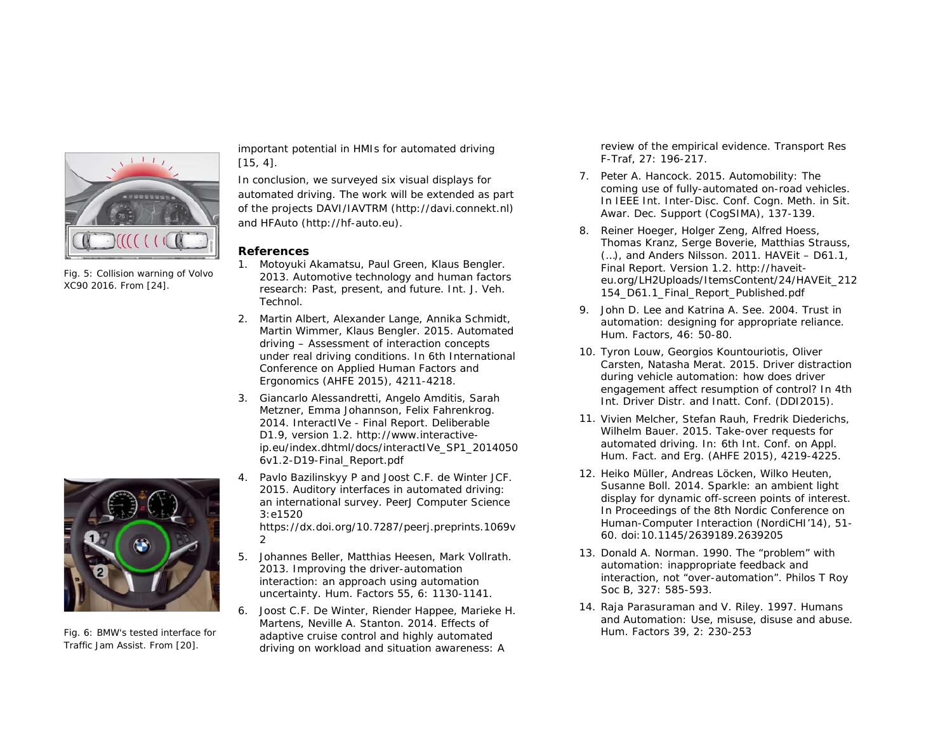

Fig. 5: Collision warning of Volvo XC90 2016. From [24].



Fig. 6: BMW's tested interface for Traffic Jam Assist. From [20].

important potential in HMIs for automated driving [15, 4].

In conclusion, we surveyed six visual displays for automated driving. The work will be extended as part of the projects DAVI/IAVTRM [\(http://davi.connekt.nl\)](http://davi.connekt.nl/) and HFAuto [\(http://hf-auto.eu\)](http://hf-auto.eu/).

## **References**

- 1. Motoyuki Akamatsu, Paul Green, Klaus Bengler. 2013. Automotive technology and human factors research: Past, present, and future. Int. J. Veh. Technol.
- 2. Martin Albert, Alexander Lange, Annika Schmidt, Martin Wimmer, Klaus Bengler. 2015. Automated driving – Assessment of interaction concepts under real driving conditions. In *6th International Conference on Applied Human Factors and Ergonomics (AHFE 2015)*, 4211-4218.
- 3. Giancarlo Alessandretti, Angelo Amditis, Sarah Metzner, Emma Johannson, Felix Fahrenkrog. 2014. InteractIVe - Final Report. Deliberable D1.9, version 1.2. http://www.interactiveip.eu/index.dhtml/docs/interactIVe\_SP1\_2014050 6v1.2-D19-Final\_Report.pdf
- 4. Pavlo Bazilinskyy P and Joost C.F. de Winter JCF. 2015. Auditory interfaces in automated driving: an international survey. PeerJ Computer Science 3:e1520

https://dx.doi.org/10.7287/peerj.preprints.1069v 2

- 5. Johannes Beller, Matthias Heesen, Mark Vollrath. 2013. Improving the driver-automation interaction: an approach using automation uncertainty. *Hum. Factors* 55, 6: 1130-1141.
- 6. Joost C.F. De Winter, Riender Happee, Marieke H. Martens, Neville A. Stanton. 2014. Effects of adaptive cruise control and highly automated driving on workload and situation awareness: A

review of the empirical evidence. Transport Res F-Traf, 27: 196-217.

- 7. Peter A. Hancock. 2015. Automobility: The coming use of fully-automated on-road vehicles. In *IEEE Int. Inter-Disc. Conf. Cogn. Meth. in Sit. Awar. Dec. Support* (CogSIMA), 137-139.
- 8. Reiner Hoeger, Holger Zeng, Alfred Hoess, Thomas Kranz, Serge Boverie, Matthias Strauss, (…), and Anders Nilsson. 2011. HAVEit – D61.1, Final Report. Version 1.2. http://haveiteu.org/LH2Uploads/ItemsContent/24/HAVEit\_212 154\_D61.1\_Final\_Report\_Published.pdf
- 9. John D. Lee and Katrina A. See. 2004. Trust in automation: designing for appropriate reliance. *Hum. Factors,* 46: 50-80.
- 10. Tyron Louw, Georgios Kountouriotis, Oliver Carsten, Natasha Merat. 2015. Driver distraction during vehicle automation: how does driver engagement affect resumption of control? In *4th Int. Driver Distr. and Inatt. Conf. (DDI2015)*.
- 11. Vivien Melcher, Stefan Rauh, Fredrik Diederichs, Wilhelm Bauer. 2015. Take-over requests for automated driving. In: *6th Int. Conf. on Appl. Hum. Fact. and Erg. (AHFE 2015)*, 4219-4225.
- 12. Heiko Müller, Andreas Löcken, Wilko Heuten, Susanne Boll. 2014. Sparkle: an ambient light display for dynamic off-screen points of interest. In *Proceedings of the 8th Nordic Conference on Human-Computer Interaction (NordiCHI'14),* 51- 60. doi:10.1145/2639189.2639205
- 13. Donald A. Norman. 1990. The "problem" with automation: inappropriate feedback and interaction, not "over-automation". Philos T Roy Soc B, 327: 585-593.
- 14. Raja Parasuraman and V. Riley. 1997. Humans and Automation: Use, misuse, disuse and abuse. *Hum. Factors* 39, 2: 230-253